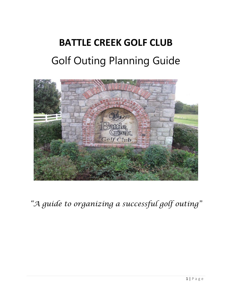# **BATTLE CREEK GOLF CLUB** Golf Outing Planning Guide



*"A guide to organizing a successful golf outing"*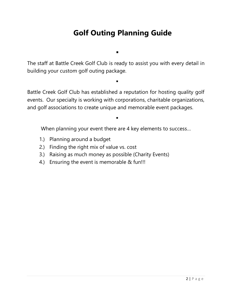## **Golf Outing Planning Guide**

The staff at Battle Creek Golf Club is ready to assist you with every detail in building your custom golf outing package.

▪

▪

Battle Creek Golf Club has established a reputation for hosting quality golf events. Our specialty is working with corporations, charitable organizations, and golf associations to create unique and memorable event packages.

When planning your event there are 4 key elements to success…

▪

- 1.) Planning around a budget
- 2.) Finding the right mix of value vs. cost
- 3.) Raising as much money as possible (Charity Events)
- 4.) Ensuring the event is memorable & fun!!!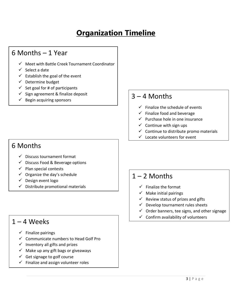# **Organization Timeline**

### 6 Months – 1 Year

- ✓ Meet with Battle Creek Tournament Coordinator
- $\checkmark$  Select a date
- $\checkmark$  Establish the goal of the event
- ✓ Determine budget
- $\checkmark$  Set goal for # of participants
- ✓ Sign agreement & finalize deposit
- 

#### 6 Months

- ✓ Discuss tournament format
- ✓ Discuss Food & Beverage options
- $\checkmark$  Plan special contests
- $\checkmark$  Organize the day's schedule
- ✓ Design event logo
- $\checkmark$  Distribute promotional materials

#### $1 - 4$  Weeks

- $\checkmark$  Finalize pairings
- ✓ Communicate numbers to Head Golf Pro
- $\checkmark$  Inventory all gifts and prizes
- $\checkmark$  Make up any gift bags or giveaways
- $\checkmark$  Get signage to golf course
- $\checkmark$  Finalize and assign volunteer roles

# $\begin{array}{c} \checkmark$  Sign agreement & finalize deposit<br>  $\checkmark$  Begin acquiring sponsors

- $\checkmark$  Finalize the schedule of events
- $\checkmark$  Finalize food and beverage
- $\checkmark$  Purchase hole in one insurance
- $\checkmark$  Continue with sign ups
- $\checkmark$  Continue to distribute promo materials
- ✓ Locate volunteers for event

#### $1 - 2$  Months

- $\checkmark$  Finalize the format
- $\checkmark$  Make initial pairings
- $\checkmark$  Review status of prizes and gifts
- $\checkmark$  Develop tournament rules sheets
- $\checkmark$  Order banners, tee signs, and other signage
- $\checkmark$  Confirm availability of volunteers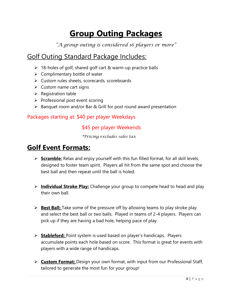# **Group Outing Packages**

*"A group outing is considered 16 players or more"*

### Golf Outing Standard Package Includes:

- ➢ 18-holes of golf, shared golf cart & warm-up practice balls
- $\triangleright$  Complimentary bottle of water
- ➢ Custom rules sheets, scorecards, scoreboards
- $\triangleright$  Custom name cart signs
- ➢ Registration table
- ➢ Professional post event scoring
- ➢ Banquet room and/or Bar & Grill for post round award presentation

#### Packages starting at: \$40 per player Weekdays

#### \$45 per player Weekends

*\*Pricing excludes sales tax*

### **Golf Event Formats:**

- ➢ **Scramble:** Relax and enjoy yourself with this fun filled format, for all skill levels, designed to foster team spirit. Players all hit from the same spot and choose the best ball and then repeat until the ball is holed.
- ➢ **Individual Stroke Play:** Challenge your group to compete head to head and play their own ball.
- ➢ **Best Ball:** Take some of the pressure off by allowing teams to play stroke play and select the best ball or two balls. Played in teams of 2-4 players. Players can pick up if they are having a bad hole, helping pace of play.
- ➢ **Stableford:** Point system is used based on player's handicaps. Players accumulate points each hole based on score. This format is great for events with players with a wide range of handicaps.
- ➢ **Custom Format:** Design your own format, with input from our Professional Staff, tailored to generate the most fun for your group!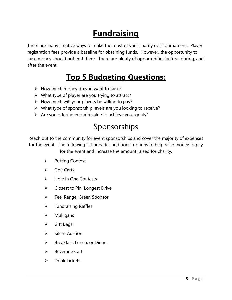# **Fundraising**

There are many creative ways to make the most of your charity golf tournament. Player registration fees provide a baseline for obtaining funds. However, the opportunity to raise money should not end there. There are plenty of opportunities before, during, and after the event.

# **Top 5 Budgeting Questions:**

- ➢ How much money do you want to raise?
- $\triangleright$  What type of player are you trying to attract?
- $\triangleright$  How much will your players be willing to pay?
- ➢ What type of sponsorship levels are you looking to receive?
- $\triangleright$  Are you offering enough value to achieve your goals?

## **Sponsorships**

Reach out to the community for event sponsorships and cover the majority of expenses for the event. The following list provides additional options to help raise money to pay

for the event and increase the amount raised for charity.

- ➢ Putting Contest
- ➢ Golf Carts
- ➢ Hole in One Contests
- $\triangleright$  Closest to Pin, Longest Drive
- ➢ Tee, Range, Green Sponsor
- $\triangleright$  Fundraising Raffles
- ➢ Mulligans
- ➢ Gift Bags
- ➢ Silent Auction
- ➢ Breakfast, Lunch, or Dinner
- ➢ Beverage Cart
- ➢ Drink Tickets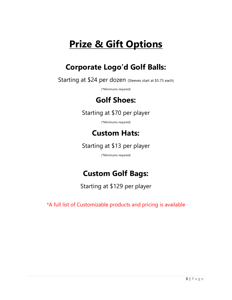# **Prize & Gift Options**

# **Corporate Logo'd Golf Balls:**

Starting at \$24 per dozen (Sleeves start at \$5.75 each)

(\*Minimums required)

### **Golf Shoes:**

#### Starting at \$70 per player

(\*Minimums required)

### **Custom Hats:**

Starting at \$13 per player

(\*Minimums required)

# **Custom Golf Bags:**

Starting at \$129 per player

\*A full list of Customizable products and pricing is available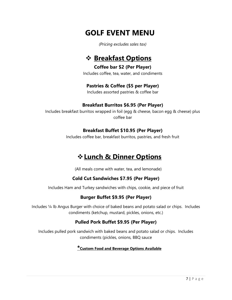## **GOLF EVENT MENU**

*(Pricing excludes sales tax)*

### ❖ **Breakfast Options**

**Coffee bar \$2 (Per Player)**

Includes coffee, tea, water, and condiments

#### **Pastries & Coffee (\$5 per Player)**

Includes assorted pastries & coffee bar

#### **Breakfast Burritos \$6.95 (Per Player)**

Includes breakfast burritos wrapped in foil (egg & cheese, bacon egg & cheese) plus coffee bar

#### **Breakfast Buffet \$10.95 (Per Player)**

Includes coffee bar, breakfast burritos, pastries, and fresh fruit

### ❖**Lunch & Dinner Options**

(All meals come with water, tea, and lemonade)

#### **Cold Cut Sandwiches \$7.95 (Per Player)**

Includes Ham and Turkey sandwiches with chips, cookie, and piece of fruit

#### **Burger Buffet \$9.95 (Per Player)**

Includes ¼ lb Angus Burger with choice of baked beans and potato salad or chips. Includes condiments (ketchup, mustard, pickles, onions, etc.)

#### **Pulled Pork Buffet \$9.95 (Per Player)**

Includes pulled pork sandwich with baked beans and potato salad or chips. Includes condiments (pickles, onions, BBQ sauce

#### **\*Custom Food and Beverage Options Available**